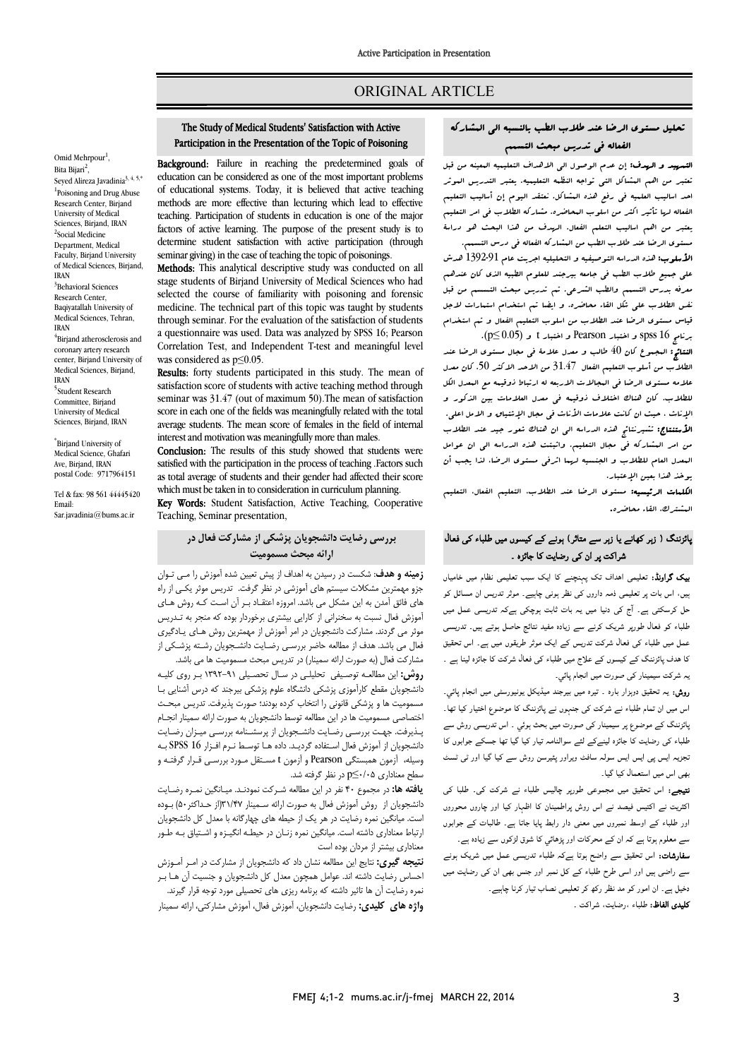## ORIGINAL ARTICLE

## The Study of Medical Students' Satisfaction with Active Participation in the Presentation of the Topic of Poisoning

Ī 

**Background:** Failure in reaching the predetermined goals of education can be considered as one of the most important problems of educational systems. Today, it is believed that active teaching methods are more effective than lecturing which lead to effective factors of active learning. The purpose of the present study is to determine student satisfaction with active participation (through Schmal giving) in the case of dacting the topic of possonings.<br>**Methods:** This analytical descriptive study was conducted on all teaching. Participation of students in education is one of the major seminar giving) in the case of teaching the topic of poisonings.

 stage students of Birjand University of Medical Sciences who had selected the course of familiarity with poisoning and forensic<br>modising The technical next of this tenia was taught by students through seminar. For the evaluation of the satisfaction of students a questionnaire was used. Data was analyzed by SPSS 16; Pearson Correlation Test, and Independent T-test and meaningful level<br>was considered as p<0.05 medicine. The technical part of this topic was taught by students was considered as p≤0.05.

Results: forty students participated in this study. The mean of sausiacuon score oi students with acuve teaching method inrough<br>seminar was 31.47 (out of maximum 50).The mean of satisfaction score in each one of the fields was meaningfully related with the total average students. The mean score of females in the field of internal satisfaction score of students with active teaching method through interest and motivation was meaningfully more than males.

**Conclusion:** The results of this study showed that students were satisfied with the participation in the process of teaching .Factors such as total average of students and their gender had allected their<br>which must be taken in to consideration in curriculum planning. as total average of students and their gender had affected their score

Key Words: Student Satisfaction, Active Teaching, Cooperative Teaching, Seminar presentation,

## **بررسی رضایت دانشجویان پزشکی از مشارکت فعال در ارائه مبحث مسمومیت**

 **زمینه و هدف**: شکست در رسیدن به اهداف از پیش تعیین شده آموزش را مـی تـوان جزو مهمترین مشکلات سیستم هاي آموزشی در نظر گرفت. تدریس موثر یکـی از راه های قانق آمدن به این مسکن می باشد. امروزه اعتقاد بـر آن اسـت کـه روس سـای<br>اموزش فعال نسبت به سخنرانی از کارایی بیشتری برخوردار بوده که منجر به تـدریس موثر می گردند. مشارکت دانشجویان در امر آموزش از مهمترین روش هـاي یـادگیري فعال می باشد. هدف از مطالعه حاضر بررسـی رضـایت دانشـجویان رشـته پزشـکی از هاي فائق آمدن به این مشکل می باشد. امروزه اعتقـاد بـر آن اسـت کـه روش هـاي

مشارکت فعال (به صورت ارائه سمینار) در تدریس مبحث مسمومیت ها می باشد.<br>شمسیار مساول است: روس. اين مقدمت از حقيقی احقيقی در اسان مقطعی است به بار روی عيد<br>دانشجویان مقطع کارآموزی پزشکی دانشگاه علوم پزشکی بیرجند که درس آشنایی بـا مسمومیت ها و پزشکی قانونی را انتخاب کرده بودند؛ صورت پذیرفت. تدریس مبحـث اختصاصی مسمومیت ها در این مطالعه توسط دانشجویان به صورت ارائه سمینار انجـام بـدیرفت. جهــن بررســی رصــایـن دانســجویان از پرنسســنامه بررســی میـران رصــایـن<br>دانشجویان از آموزش فعال اسـتفاده گردیـد. داده هـا توسـط نـرم افـزار SPSS 16 بـه وسیله، آزمون همبستگی Pearson و آزمون t مسـتقل مـورد بررسـی قـرار گرفتـه و سطح معناداري 0/05≥p در نظر گرفته شد. **روش:** این مطالعـه توصـیفی تحلیلـی در سـال تحصـیلی 1392-91 بـر روي کلیـه پـذیرفت. جهـت بررسـی رضـایت دانشـجویان از پرسشـنامه بررسـی میـزان رضـایت

 **یافته ها:** در مجموع 40 نفر در این مطالعه شـرکت نمودنـد . میـانگی ن نمـره رضـایت ...سببویان از آروس امورس تعال به صورت ارائه سنمیبار ۱٬۱۰۲ اراز حدا نیز ۱٬۱۰۰ بوده<br>ست. میانگین نمره رضایت در هر یک از حیطه های چهارگانه با معدل کل دانشجویان ارتباط معناداري داشته است. میانگین نمره زنـان در حیطـه انگیـزه و اشـتیاق بـه طـور معناداري بیشتر از مردان بوده است دانشجویان از روش آموزش فعال به صورت ارائه سـمینار 31/47(از حـداکثر 50) بـوده

 **نتیجه گیري:** نتایج این مطالعه نشان داد که دانشجویان از مشارکت در امـر آمـوزش نسس رضایت تاشید اندا توانس تشهران شدن من تاشیابویان و جسیت آن ت بتر<br>نمره رضایت آن ها تاثیر داشته که برنامه ریزی های تحصیلی مورد توجه قرار گیرند. **واژه هاي کلیدي:** رضایت دانشجویان، آموزش فعال، آموزش مشارکتی، ارائه سمینار احساس رضایت داشته اند. عوامل همچون معدل کل دانشجویان و جنسیت آن هـا بـر

# تحلیل مستوي الرضا عند طلاب الطب بالنسبه الی المشارکه الفعاله فی تدریس مبحث التسمم

Ī  $\overline{a}$ 

التس**رسد و الرسف:** إن عدم الوصول الی الاهداف التعلیمیه البعینه من قبل<br>التعلیمید و الدوری من الله من الله من الله من الله من الله من الله من الله من الله من الله من الله من الله من احد اسالیب العلمیه فی رفع هذه المشاکل. نعتقد الیوم إن أسالیب التعلیم الفعاله لها تأثیر اکثر من اسلوب المحاضره. مشارکه الطلاب فی امر التعلیم یعتبر من اهم اسالیب التعلم الفعال. الهدف من هذا البحث هو دراسۀ تعتبر من اهم المشاکل التی تواجه النظمه التعلیمیه. یعتبر التدریس الموثر

 مستوي الرضا عند طلاب الطب من المشارکه الفعاله فی درس التسمم. ا**لأسلوب:** هذه الدراسه التوصیفیه و التحلیلیه اجریت عام 1392-91 هدش<br>. معی جیتیع حدیث الصب فی جامعه پیرجند تصنوح الصبیه الذی فان حدیقی<br>معرفه بدرس التسبیم والطب الشرعی. تم تدریس مبحث التسسیم من قبل نفس الطلاب علی شکل القاء محاضره. و ایضا تم استخدام استمارات لاجل قیاس مستوي الرضا عند الطلاب من اسلوب التعلیم الفعال و تم استخدام برنامج 16 spss و اختبار Pearson و اختبار t و (0.05 ≥p(. علی جمیع طلاب الطب فی جامعه بیرجند للعلوم الطبیه الذي کان عندهم

 النتائج: المجموع کان 40 طالب و معدل علامۀ فی مجال مستوي الرضا عند الطلاب من أسلوب التعلیم الفعال 31.47 من الاحد الاکثر .50 کان معدل لاب مسئول الرئیسی انتشار کلید است.<br>للطلاب. کان هناك اختلاف ذوقینه فی معدل العلامات بین الذکور و الإناث ، حیث ان کانت علامات الأناث فی مجال الإشتیاق و الامل اعلی. الأستنتاج: تشیرنتائج هذه الدراسه الی ان هناك شعور جید عند الطلاب من امر المشارکه فی مجال التعلیم. واثبتت هذه الدراسه الی ان عوامل المعدل العام للطلاب و الجنسیه لهما اثرفی مستوي الرضا، لذا یجب أن علامه مستوي الرضا فی المجالات الاربعه له ارتباط ذوقیمه مع المعدل الکل یوخذ هذا بعین الإعتبار.

<sub>ت</sub>وحد *هد*ا بنین *الإعب*ار.<br>**الکلمات الرئیسیه: م**ستوی الرضا عند الطلاب، التعلیم الفعال، التعلیم المشترك، القاء محاضره.

## ہائزننگ ( زہر کھانے یا زہر سے متاثر) ہونے کے کیسوں میں طلباء کی فعالٰ شراکت پر ان کی رضایت کا جائزہ ۔

**یک گراونڈ:** تعلیمی اہداف تک پہنچنے کا ایک سبب تعلیمی نظام میں خامیاں <sub>ہیں</sub>، اس بات پر تعلیمی ذمہ داروں کی نظر ہونی چاہیے۔ موثر تدریس ان مسائل کو دل کرسکتی ہے. آج کی دنیا میں یہ بات ثابت ہوچکی ہےکہ تدریسی عمل میں لخلباء کو فعالٰ طورپر شریک کرنے سے زیادہ مفید نتائج حاصل ہوتے ہیں۔ تدریسی عمل میں طلباء کی فعال شرکت تدریس کے ایک موثر طریقوں میں ہے۔ اس تحقیق ف ں ج ء ل ہ ۔ یہ شرکت سیمینار کی صورت میں انجام پائی۔

بہ سرحت سیسیمار سی حــورت سیں ہے۔م پسی۔<br>**روش:** یہ تحقیق دوہزار بـارہ ۔ تیرہ میں بیرجند میڈیکل یونیورسٹی میں انجام پائی۔ اس ان م ء ں ع ار ۔ ۔<br>بائزننگ کے موضوع پر سیمینار ک*ی ص*ورت میں بحث ہوئی ۔ اس تدریسی روش سے .<br>طلباء کی رضایت کا جائزہ لینےکے لئے سوالنامہ تیار کیا گیا تھا جسکے جوابوں کا نجزیہ ایس پی ایس ایس سولہ سافٹ ویراور پئیرسن روش سے کیا گیا اور ٹی ٹسٹ بھی اس میں استعمال کیا گیا۔

**تیجے:** اس تحقیق میں مجموعی طورپر چالیس طلباء نے شرکت کی۔ طلبا کی<br>۔ اکثریت نے اکتیس فیصد نے اس روش پراطمینان کا اظہار کیا اور چاروں محوروں<br>۔ ور صبۃ نے ،وسط نمبروں میں معنی دار رابط پایا جانا ہے۔ صابات نے جوابو<br>سے معلوم ہوتا ہے کہ ان کے محرکات اور پڑھائي کا شوق لڑکوں سے زیادہ ہے۔ اور طلباء کے اوسط نمبروں میں معنی دار رابط پایا جاتا ہے۔ طالبات کے جوابوں

ے میں اس کے معامل کی دیکھیں ہے میں اس کی دورہ کی ہے۔<br>س**فارشات:** اس تحقیق سے واضح ہوتا ہےکہ طلباء تدریسی عمل میں شریک ہونے ر ہے۔<br>سے راضی ہیں اور اسی طرح طلباء کے کل نمبر اور جنس بھی ان کی رضایت میں دخیل ہے۔ ان امور کو مد نظر رکھ کر تعلیمی نصاب تیار کرنا چاہیے۔ **تلیدی الفاظ:** طلباء ،رضایت، شراکت <sub>-</sub>

Omid Mehrpour<sup>1</sup>, Bita Bijari<sup>2</sup>, Seyed Alireza Javadinia<sup>3, 4, 5,\*</sup> <sup>1</sup>Poisoning and Drug Abuse Research Center, Birjand University of Medical Sciences, Biriand, IRAN 2 Social Medicine Department, Medical Faculty, Birjand University of Medical Sciences, Birjand, IRAN 3 Behavioral Sciences Research Center, Baqiyatallah University of Medical Sciences, Tehran, IRAN 4 Birjand atherosclerosis and coronary artery research center, Birjand University of

Medical Sciences, Birjand, IRAN 5 Student Research Committee, Birjand University of Medical Sciences, Birjand, IRAN

\* Birjand University of Medical Science, Ghafari Ave, Biriand, IRAN postal Code: 9717964151

Tel & fax: 98 561 44445420 Email: Sar.javadinia@bums.ac.ir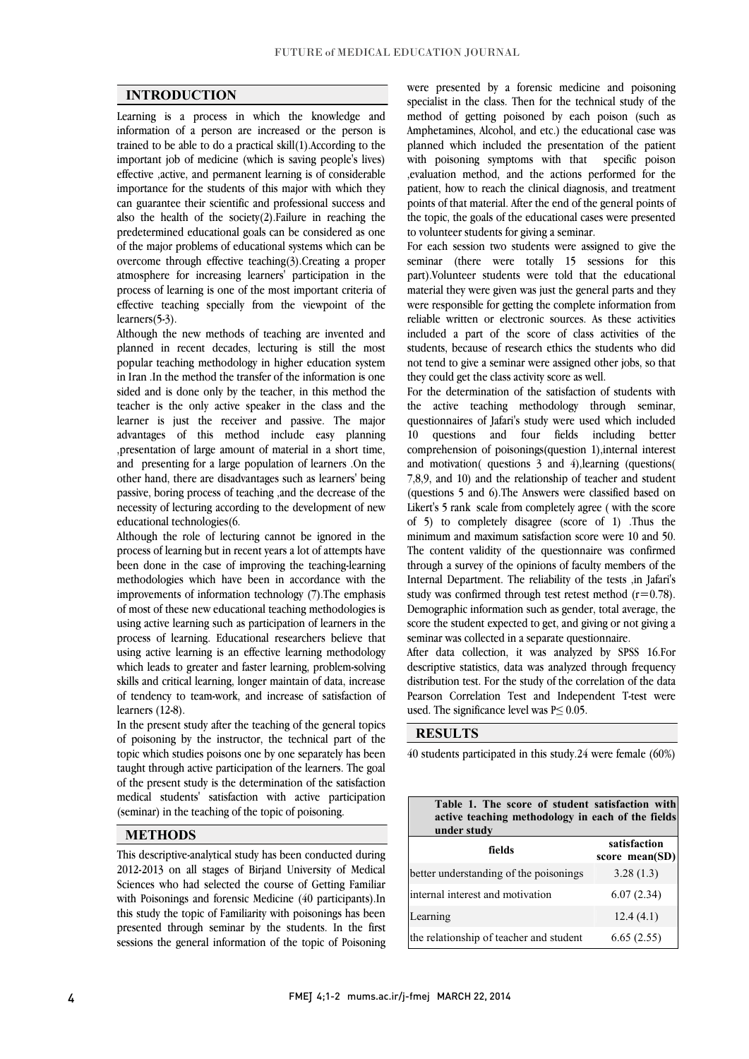$\overline{a}$  $\overline{a}$ 

### **INTRODUCTION**

 Learning is a process in which the knowledge and information of a person are increased or the person is important job of medicine (which is saving people's lives) effective ,active, and permanent learning is of considerable importance for the students of this major with which they can guarantee their scientific and professional success and predetermined educational goals can be considered as one of the major problems of educational systems which can be overcome through effective teaching(3).Creating a proper atmosphere for increasing learners' participation in the effective teaching specially from the viewpoint of the trained to be able to do a practical skill(1).According to the also the health of the society(2).Failure in reaching the process of learning is one of the most important criteria of learners(5-3).

 Although the new methods of teaching are invented and planned in recent decades, lecturing is still the most in Iran .In the method the transfer of the information is one sided and is done only by the teacher, in this method the teacher is the only active speaker in the class and the advantages of this method include easy planning ,presentation of large amount of material in a short time, and presenting for a large population of learners .On the other hand, there are disadvantages such as learners' being passive, boring process or dating, and the decrease of the necessity of lecturing according to the development of new popular teaching methodology in higher education system learner is just the receiver and passive. The major passive, boring process of teaching ,and the decrease of the educational technologies(6.

 Although the role of lecturing cannot be ignored in the process of learning but in recent years a lot of attempts have methodologies which have been in accordance with the improvements of information technology (7).The emphasis of most of these new educational teaching methodologies is using active learning such as participation of learners in the using active learning is an effective learning methodology which leads to greater and faster learning, problem-solving skills and critical learning, longer maintain of data, increase of tendency to team-work, and increase of satisfaction of been done in the case of improving the teaching-learning process of learning. Educational researchers believe that learners (12-8).

In the present study after the teaching of the general topics of poisoning by the instructor, the technical part of the topic which studies poisons one by one separately has been adignt unough active participation of the rearriers. The goal<br>of the present study is the determination of the satisfaction medical students' satisfaction with active participation taught through active participation of the learners. The goal (seminar) in the teaching of the topic of poisoning.

#### **METHODS**

 This descriptive-analytical study has been conducted during 2012-2013 on all stages of Birjand University of Medical Sciences who had selected the course of Getting Familiar with Poisonings and forensic Medicine (40 participants).In presented through seminar by the students. In the first sessions the general information of the topic of Poisoning this study the topic of Familiarity with poisonings has been

 specialist in the class. Then for the technical study of the method of getting poisoned by each poison (such as Amphetamines, Alcohol, and etc.) the educational case was planned which included the presentation of the patient ,evaluation method, and the actions performed for the patient, how to reach the clinical diagnosis, and treatment points of that material. After the end of the general points of the topic, the goals of the educational cases were presented<br>to volunteer students for giving a seminar were presented by a forensic medicine and poisoning planned which included the presentation of the patient to volunteer students for giving a seminar.

 For each session two students were assigned to give the seminar (there were totally 15 sessions for this part), volunteer students were told that the educational material they were given was just the general parts and they were responsible for getting the complete information from reliable written or electronic sources. As these activities included a part of the score of class activities of the ູ່ part).Volunteer students were told that the educational students, because of research ethics the students who did not tend to give a seminar were assigned other jobs, so that they could get the class activity score as well.

 For the determination of the satisfaction of students with the active teaching methodology through seminar, 10 questions and four fields including better comprehension of poisonings(question 1),internal interest and motivation( questions 3 and 4),learning (questions( 7,8,9, and 10) and the relationship of teacher and student Likert's 5 rank scale from completely agree ( with the score of 5) to completely disagree (score of 1) .Thus the minimum and maximum satisfaction score were 10 and 50. The content validity of the questionnaire was confirmed Internal Department. The reliability of the tests , in Jafari's study was confirmed through test retest method  $(r=0.78)$ . Demographic information such as gender, total average, the score the student expected to get, and giving or not giving a<br>continuum collected in a constate quation prime questionnaires of Jafari's study were used which included (questions 5 and 6).The Answers were classified based on through a survey of the opinions of faculty members of the seminar was collected in a separate questionnaire.

 After data collection, it was analyzed by SPSS 16.For descriptive statistics, data was analyzed through frequency distribution test. For the study of the correlation of the data Pearson Correlation Test and Independent T-test were<br>used Theoremificance level was  $D \le 0.05$  used. The significance level was  $P \le 0.05$ .

#### **RESULTS**

40 students participated in this study.24 were female (60%)

 $\overline{a}$ 

| Table 1. The score of student satisfaction with<br>active teaching methodology in each of the fields<br>under study |                                |  |  |  |  |
|---------------------------------------------------------------------------------------------------------------------|--------------------------------|--|--|--|--|
| fields                                                                                                              | satisfaction<br>score mean(SD) |  |  |  |  |
| better understanding of the poisonings                                                                              | 3.28(1.3)                      |  |  |  |  |
| internal interest and motivation                                                                                    | 6.07(2.34)                     |  |  |  |  |
| Learning                                                                                                            | 12.4(4.1)                      |  |  |  |  |
| the relationship of teacher and student                                                                             | 6.65(2.55)                     |  |  |  |  |

٦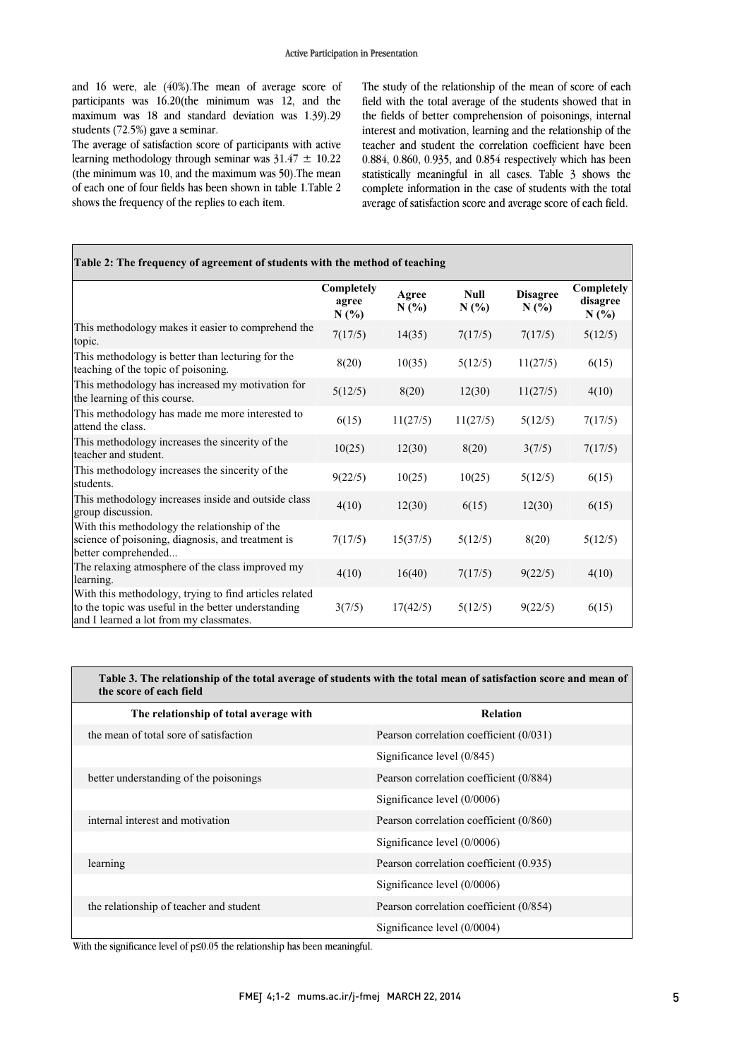and 16 were, ale (40%).The mean of average score of participants was 16.20(the minimum was 12, and the maximum was 18 and standard deviation was 1.39).29 students (72.5%) gave a seminar.

students (/2.5%) gave a seminar.<br>The average of satisfaction score of participants with active learning methodology through seminar was  $31.47 \pm 10.22$  (the minimum was 10, and the maximum was 50).The mean of each one of four fields has been shown in table 1.Table 2 shows the frequency of the replies to each item.

 The study of the relationship of the mean of score of each field with the total average of the students showed that in the fields of better comprehension of poisonings, internal interest and motivation, learning and the relationship of the 0.884, 0.860, 0.935, and 0.854 respectively which has been complete information in the case of students with the total average of satisfaction score and average score of each field. teacher and student the correlation coefficient have been statistically meaningful in all cases. Table 3 shows the

| Table 2: The frequency of agreement of students with the method of teaching                                                                              |                             |               |              |                         |                                |  |
|----------------------------------------------------------------------------------------------------------------------------------------------------------|-----------------------------|---------------|--------------|-------------------------|--------------------------------|--|
|                                                                                                                                                          | Completely<br>agree<br>N(%) | Agree<br>N(%) | Null<br>N(%) | <b>Disagree</b><br>N(%) | Completely<br>disagree<br>N(%) |  |
| This methodology makes it easier to comprehend the<br>topic.                                                                                             | 7(17/5)                     | 14(35)        | 7(17/5)      | 7(17/5)                 | 5(12/5)                        |  |
| This methodology is better than lecturing for the<br>teaching of the topic of poisoning.                                                                 | 8(20)                       | 10(35)        | 5(12/5)      | 11(27/5)                | 6(15)                          |  |
| This methodology has increased my motivation for<br>the learning of this course.                                                                         | 5(12/5)                     | 8(20)         | 12(30)       | 11(27/5)                | 4(10)                          |  |
| This methodology has made me more interested to<br>attend the class.                                                                                     | 6(15)                       | 11(27/5)      | 11(27/5)     | 5(12/5)                 | 7(17/5)                        |  |
| This methodology increases the sincerity of the<br>teacher and student.                                                                                  | 10(25)                      | 12(30)        | 8(20)        | 3(7/5)                  | 7(17/5)                        |  |
| This methodology increases the sincerity of the<br>students.                                                                                             | 9(22/5)                     | 10(25)        | 10(25)       | 5(12/5)                 | 6(15)                          |  |
| This methodology increases inside and outside class<br>group discussion.                                                                                 | 4(10)                       | 12(30)        | 6(15)        | 12(30)                  | 6(15)                          |  |
| With this methodology the relationship of the<br>science of poisoning, diagnosis, and treatment is<br>better comprehended                                | 7(17/5)                     | 15(37/5)      | 5(12/5)      | 8(20)                   | 5(12/5)                        |  |
| The relaxing atmosphere of the class improved my<br>learning.                                                                                            | 4(10)                       | 16(40)        | 7(17/5)      | 9(22/5)                 | 4(10)                          |  |
| With this methodology, trying to find articles related<br>to the topic was useful in the better understanding<br>and I learned a lot from my classmates. | 3(7/5)                      | 17(42/5)      | 5(12/5)      | 9(22/5)                 | 6(15)                          |  |

#### l **Table 3. The relationship of the total average of students with the total mean of satisfaction score and mean of**   $\overline{a}$ **the score of each field**

| The relationship of total average with                                       | <b>Relation</b>                           |  |  |  |
|------------------------------------------------------------------------------|-------------------------------------------|--|--|--|
| the mean of total sore of satisfaction                                       | Pearson correlation coefficient $(0/031)$ |  |  |  |
|                                                                              | Significance level $(0/845)$              |  |  |  |
| better understanding of the poisonings                                       | Pearson correlation coefficient (0/884)   |  |  |  |
|                                                                              | Significance level $(0/0006)$             |  |  |  |
| internal interest and motivation                                             | Pearson correlation coefficient (0/860)   |  |  |  |
|                                                                              | Significance level $(0/0006)$             |  |  |  |
| learning                                                                     | Pearson correlation coefficient (0.935)   |  |  |  |
|                                                                              | Significance level $(0/0006)$             |  |  |  |
| the relationship of teacher and student                                      | Pearson correlation coefficient (0/854)   |  |  |  |
|                                                                              | Significance level $(0/0004)$             |  |  |  |
| With the significance level of $n<0.05$ the relationship has been meaningful |                                           |  |  |  |

With the significance level of p≤0.05 the relationship has been meaningful.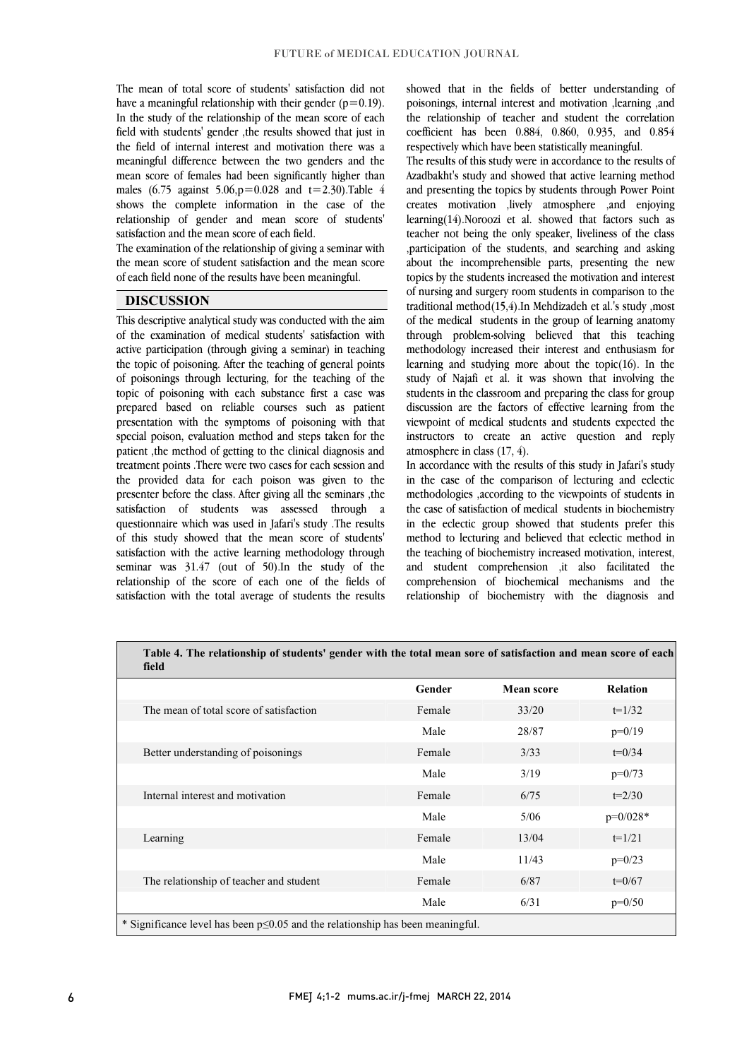The mean of total score of students' satisfaction did not have a meaningful relationship with their gender  $(p=0.19)$ . In the study of the relationship of the mean score of each field with students' gender ,the results showed that just in meaningful difference between the two genders and the mean score of females had been significantly higher than males (6.75 against 5.06,  $p = 0.028$  and  $t = 2.30$ ). Table 4 males (6.75 against 5.06,p=0.028 and t=2.30).Table 4 shows the complete information in the case of the relationship of gender and mean score of students' the field of internal interest and motivation there was a satisfaction and the mean score of each field.

 The examination of the relationship of giving a seminar with the mean score of student satisfaction and the mean score of each field none of the results have been meaningful.

### **DISCUSSION**

 This descriptive analytical study was conducted with the aim of the examination of medical students' satisfaction with active participation (through giving a seminar) in teaching of poisonings through lecturing, for the teaching of the topic of poisoning with each substance first a case was prepared based on reliable courses such as patient presentation with the symptoms of poisoning with that patient ,the method of getting to the clinical diagnosis and treatment points .There were two cases for each session and the provided data for each poison was given to the presenter before the class. After giving an the seminars , the<br>satisfaction of students was assessed through a questionnaire which was used in Jafari's study .The results of this study showed that the mean score of students' satisfaction with the active learning methodology through relationship of the score of each one of the fields of satisfaction with the total average of students the results the topic of poisoning. After the teaching of general points special poison, evaluation method and steps taken for the presenter before the class. After giving all the seminars ,the seminar was 31.47 (out of 50).In the study of the

 showed that in the fields of better understanding of poisonings, internal interest and motivation ,learning ,and the relationship of teacher and student the correlation coefficient has been 0.884, 0.860, 0.935, and 0.854 respectively which have been statistically meaningful.

respectively which have been statisticany meaningiti.<br>The results of this study were in accordance to the results of Azadbakht's study and showed that active learning method and presenting the topics by students through Power Point creates motivation ,lively atmosphere ,and enjoying teacher not being the only speaker, liveliness of the class ,participation of the students, and searching and asking about the incomprehensible parts, presenting the new topics by the students increased the motivation and interest traditional method(15,4).In Mehdizadeh et al.'s study ,most of the medical students in the group of learning anatomy through problem-solving believed that this teaching methodology increased their interest and enthusiasm for study of Najafi et al. it was shown that involving the students in the classroom and preparing the class for group discussion are the factors of effective learning from the viewpoint of medical students and students expected the instructors to create an active question and reply atmosphere in class  $(17/4)$ learning(14).Noroozi et al. showed that factors such as of nursing and surgery room students in comparison to the learning and studying more about the topic(16). In the atmosphere in class (17, 4).

 In accordance with the results of this study in Jafari's study in the case of the comparison of lecturing and eclectic the case of satisfaction of medical students in biochemistry in the eclectic group showed that students prefer this method to lecturing and believed that eclectic method in the teaching of biochemistry increased motivation, interest, comprehension of biochemical mechanisms and the relationship of biochemistry with the diagnosis and methodologies ,according to the viewpoints of students in and student comprehension ,it also facilitated the

Ξ

| Table 4. The relationship of students' gender with the total mean sore of satisfaction and mean score of each<br>field |        |            |                 |  |  |
|------------------------------------------------------------------------------------------------------------------------|--------|------------|-----------------|--|--|
|                                                                                                                        | Gender | Mean score | <b>Relation</b> |  |  |
| The mean of total score of satisfaction                                                                                | Female | 33/20      | $t=1/32$        |  |  |
|                                                                                                                        | Male   | 28/87      | $p=0/19$        |  |  |
| Better understanding of poisonings                                                                                     | Female | 3/33       | $t=0/34$        |  |  |
|                                                                                                                        | Male   | 3/19       | $p=0/73$        |  |  |
| Internal interest and motivation                                                                                       | Female | 6/75       | $t=2/30$        |  |  |
|                                                                                                                        | Male   | 5/06       | $p=0/028*$      |  |  |
| Learning                                                                                                               | Female | 13/04      | $t=1/21$        |  |  |
|                                                                                                                        | Male   | 11/43      | $p=0/23$        |  |  |
| The relationship of teacher and student                                                                                | Female | 6/87       | $t=0/67$        |  |  |
|                                                                                                                        | Male   | 6/31       | $p=0/50$        |  |  |
| * Significance level has been $p \le 0.05$ and the relationship has been meaningful.                                   |        |            |                 |  |  |

Ξ